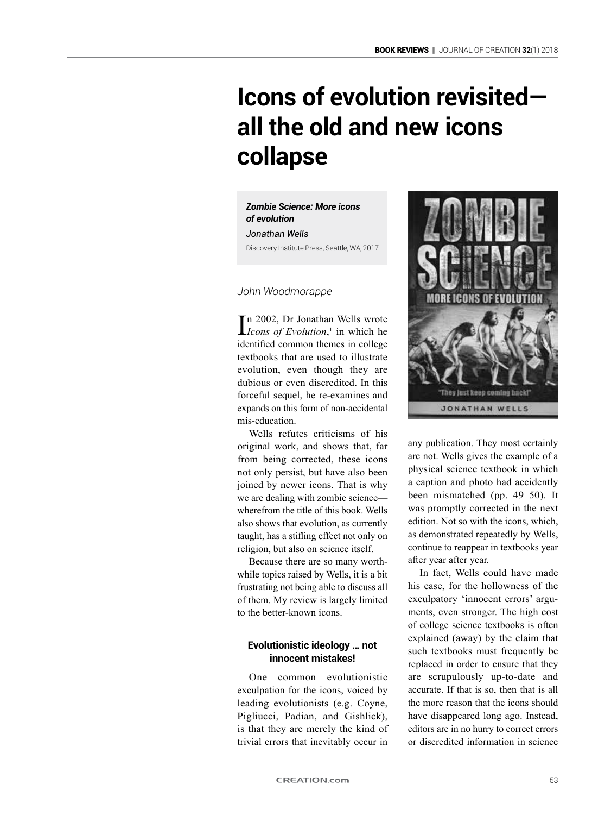# **Icons of evolution revisited all the old and new icons collapse**

*Zombie Science: More icons of evolution Jonathan Wells* Discovery Institute Press, Seattle, WA, 2017

*John Woodmorappe*

 $\prod_{1 \leq n} 2002$ , Dr Jonathan Wells wrote<br>*Icons of Evolution*,<sup>1</sup> in which he *Icons of Evolution*, 1 in which he identified common themes in college textbooks that are used to illustrate evolution, even though they are dubious or even discredited. In this forceful sequel, he re-examines and expands on this form of non-accidental mis-education.

Wells refutes criticisms of his original work, and shows that, far from being corrected, these icons not only persist, but have also been joined by newer icons. That is why we are dealing with zombie science wherefrom the title of this book. Wells also shows that evolution, as currently taught, has a stifling effect not only on religion, but also on science itself.

Because there are so many worthwhile topics raised by Wells, it is a bit frustrating not being able to discuss all of them. My review is largely limited to the better-known icons.

## **Evolutionistic ideology … not innocent mistakes!**

One common evolutionistic exculpation for the icons, voiced by leading evolutionists (e.g. Coyne, Pigliucci, Padian, and Gishlick), is that they are merely the kind of trivial errors that inevitably occur in



any publication. They most certainly are not. Wells gives the example of a physical science textbook in which a caption and photo had accidently been mismatched (pp. 49–50). It was promptly corrected in the next edition. Not so with the icons, which, as demonstrated repeatedly by Wells, continue to reappear in textbooks year after year after year.

In fact, Wells could have made his case, for the hollowness of the exculpatory 'innocent errors' arguments, even stronger. The high cost of college science textbooks is often explained (away) by the claim that such textbooks must frequently be replaced in order to ensure that they are scrupulously up-to-date and accurate. If that is so, then that is all the more reason that the icons should have disappeared long ago. Instead, editors are in no hurry to correct errors or discredited information in science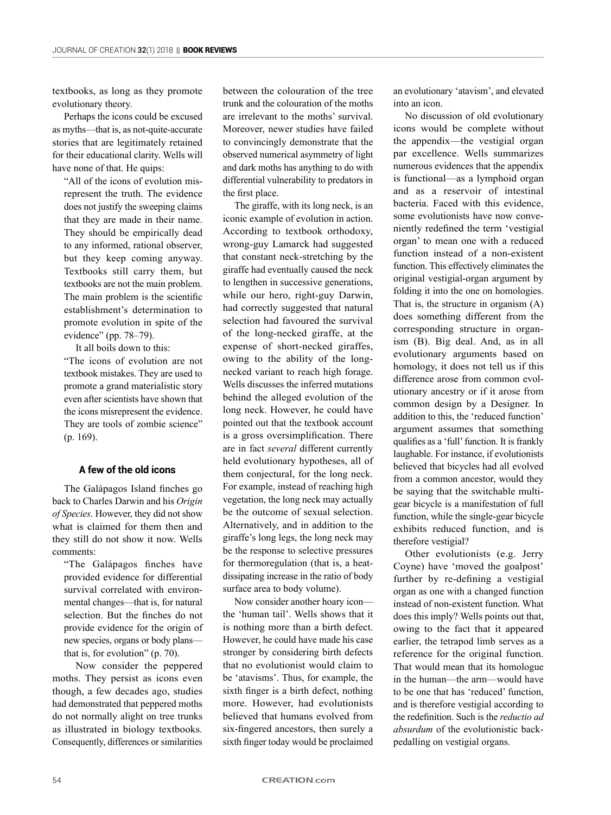textbooks, as long as they promote evolutionary theory.

Perhaps the icons could be excused as myths—that is, as not-quite-accurate stories that are legitimately retained for their educational clarity. Wells will have none of that. He quips:

"All of the icons of evolution misrepresent the truth. The evidence does not justify the sweeping claims that they are made in their name. They should be empirically dead to any informed, rational observer, but they keep coming anyway. Textbooks still carry them, but textbooks are not the main problem. The main problem is the scientific establishment's determination to promote evolution in spite of the evidence" (pp. 78–79).

It all boils down to this: "The icons of evolution are not textbook mistakes. They are used to promote a grand materialistic story even after scientists have shown that the icons misrepresent the evidence. They are tools of zombie science" (p. 169).

### **A few of the old icons**

The Galápagos Island finches go back to Charles Darwin and his *Origin of Species*. However, they did not show what is claimed for them then and they still do not show it now. Wells comments:

"The Galápagos finches have provided evidence for differential survival correlated with environmental changes—that is, for natural selection. But the finches do not provide evidence for the origin of new species, organs or body plans that is, for evolution" (p. 70).

Now consider the peppered moths. They persist as icons even though, a few decades ago, studies had demonstrated that peppered moths do not normally alight on tree trunks as illustrated in biology textbooks. Consequently, differences or similarities between the colouration of the tree trunk and the colouration of the moths are irrelevant to the moths' survival. Moreover, newer studies have failed to convincingly demonstrate that the observed numerical asymmetry of light and dark moths has anything to do with differential vulnerability to predators in the first place.

The giraffe, with its long neck, is an iconic example of evolution in action. According to textbook orthodoxy, wrong-guy Lamarck had suggested that constant neck-stretching by the giraffe had eventually caused the neck to lengthen in successive generations, while our hero, right-guy Darwin, had correctly suggested that natural selection had favoured the survival of the long-necked giraffe, at the expense of short-necked giraffes, owing to the ability of the longnecked variant to reach high forage. Wells discusses the inferred mutations behind the alleged evolution of the long neck. However, he could have pointed out that the textbook account is a gross oversimplification. There are in fact *several* different currently held evolutionary hypotheses, all of them conjectural, for the long neck. For example, instead of reaching high vegetation, the long neck may actually be the outcome of sexual selection. Alternatively, and in addition to the giraffe's long legs, the long neck may be the response to selective pressures for thermoregulation (that is, a heatdissipating increase in the ratio of body surface area to body volume).

Now consider another hoary icon the 'human tail'. Wells shows that it is nothing more than a birth defect. However, he could have made his case stronger by considering birth defects that no evolutionist would claim to be 'atavisms'. Thus, for example, the sixth finger is a birth defect, nothing more. However, had evolutionists believed that humans evolved from six-fingered ancestors, then surely a sixth finger today would be proclaimed an evolutionary 'atavism', and elevated into an icon.

No discussion of old evolutionary icons would be complete without the appendix—the vestigial organ par excellence. Wells summarizes numerous evidences that the appendix is functional—as a lymphoid organ and as a reservoir of intestinal bacteria. Faced with this evidence, some evolutionists have now conveniently redefined the term 'vestigial organ' to mean one with a reduced function instead of a non-existent function. This effectively eliminates the original vestigial-organ argument by folding it into the one on homologies. That is, the structure in organism (A) does something different from the corresponding structure in organism (B). Big deal. And, as in all evolutionary arguments based on homology, it does not tell us if this difference arose from common evolutionary ancestry or if it arose from common design by a Designer. In addition to this, the 'reduced function' argument assumes that something qualifies as a 'full' function. It is frankly laughable. For instance, if evolutionists believed that bicycles had all evolved from a common ancestor, would they be saying that the switchable multigear bicycle is a manifestation of full function, while the single-gear bicycle exhibits reduced function, and is therefore vestigial?

Other evolutionists (e.g. Jerry Coyne) have 'moved the goalpost' further by re-defining a vestigial organ as one with a changed function instead of non-existent function. What does this imply? Wells points out that, owing to the fact that it appeared earlier, the tetrapod limb serves as a reference for the original function. That would mean that its homologue in the human—the arm—would have to be one that has 'reduced' function, and is therefore vestigial according to the redefinition. Such is the *reductio ad absurdum* of the evolutionistic backpedalling on vestigial organs.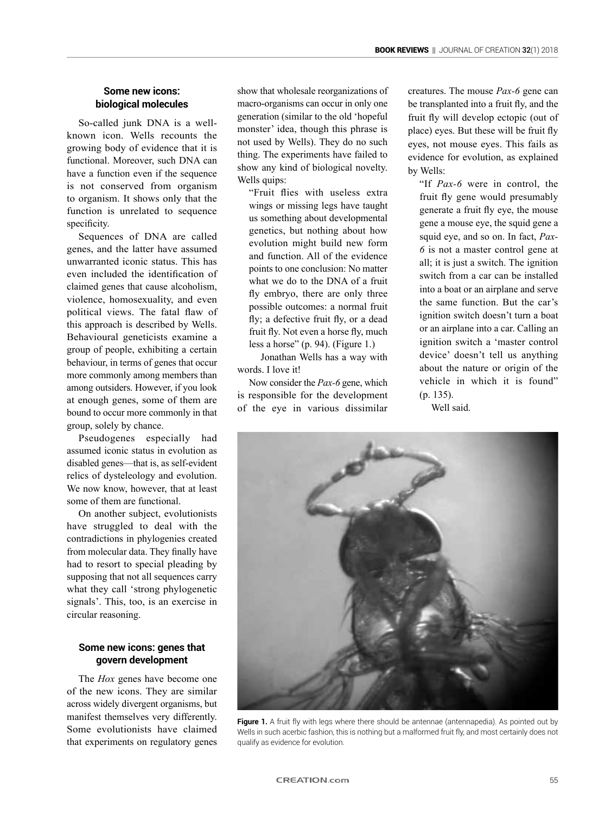# **Some new icons: biological molecules**

So-called junk DNA is a wellknown icon. Wells recounts the growing body of evidence that it is functional. Moreover, such DNA can have a function even if the sequence is not conserved from organism to organism. It shows only that the function is unrelated to sequence specificity.

Sequences of DNA are called genes, and the latter have assumed unwarranted iconic status. This has even included the identification of claimed genes that cause alcoholism, violence, homosexuality, and even political views. The fatal flaw of this approach is described by Wells. Behavioural geneticists examine a group of people, exhibiting a certain behaviour, in terms of genes that occur more commonly among members than among outsiders. However, if you look at enough genes, some of them are bound to occur more commonly in that group, solely by chance.

Pseudogenes especially had assumed iconic status in evolution as disabled genes—that is, as self-evident relics of dysteleology and evolution. We now know, however, that at least some of them are functional.

On another subject, evolutionists have struggled to deal with the contradictions in phylogenies created from molecular data. They finally have had to resort to special pleading by supposing that not all sequences carry what they call 'strong phylogenetic signals'. This, too, is an exercise in circular reasoning.

## **Some new icons: genes that govern development**

The *Hox* genes have become one of the new icons. They are similar across widely divergent organisms, but manifest themselves very differently. Some evolutionists have claimed that experiments on regulatory genes show that wholesale reorganizations of macro-organisms can occur in only one generation (similar to the old 'hopeful monster' idea, though this phrase is not used by Wells). They do no such thing. The experiments have failed to show any kind of biological novelty. Wells quips:

"Fruit flies with useless extra wings or missing legs have taught us something about developmental genetics, but nothing about how evolution might build new form and function. All of the evidence points to one conclusion: No matter what we do to the DNA of a fruit fly embryo, there are only three possible outcomes: a normal fruit fly; a defective fruit fly, or a dead fruit fly. Not even a horse fly, much less a horse" (p. 94). (Figure 1.)

Jonathan Wells has a way with words. I love it!

Now consider the *Pax-6* gene, which is responsible for the development of the eye in various dissimilar creatures. The mouse *Pax-6* gene can be transplanted into a fruit fly, and the fruit fly will develop ectopic (out of place) eyes. But these will be fruit fly eyes, not mouse eyes. This fails as evidence for evolution, as explained by Wells:

"If *Pax-6* were in control, the fruit fly gene would presumably generate a fruit fly eye, the mouse gene a mouse eye, the squid gene a squid eye, and so on. In fact, *Pax-6* is not a master control gene at all; it is just a switch. The ignition switch from a car can be installed into a boat or an airplane and serve the same function. But the car's ignition switch doesn't turn a boat or an airplane into a car. Calling an ignition switch a 'master control device' doesn't tell us anything about the nature or origin of the vehicle in which it is found" (p. 135).

Well said.



Figure 1. A fruit fly with legs where there should be antennae (antennapedia). As pointed out by Wells in such acerbic fashion, this is nothing but a malformed fruit fly, and most certainly does not qualify as evidence for evolution.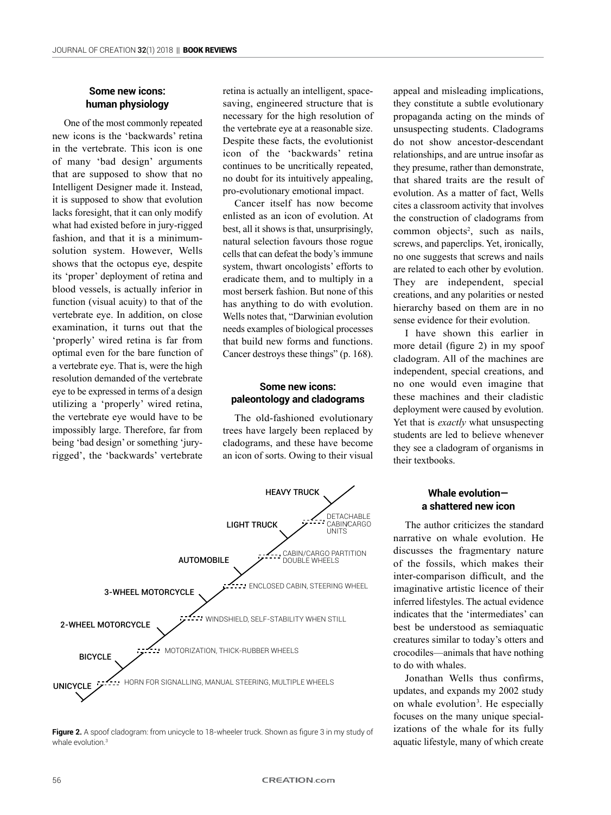# **Some new icons: human physiology**

One of the most commonly repeated new icons is the 'backwards' retina in the vertebrate. This icon is one of many 'bad design' arguments that are supposed to show that no Intelligent Designer made it. Instead, it is supposed to show that evolution lacks foresight, that it can only modify what had existed before in jury-rigged fashion, and that it is a minimumsolution system. However, Wells shows that the octopus eye, despite its 'proper' deployment of retina and blood vessels, is actually inferior in function (visual acuity) to that of the vertebrate eye. In addition, on close examination, it turns out that the 'properly' wired retina is far from optimal even for the bare function of a vertebrate eye. That is, were the high resolution demanded of the vertebrate eye to be expressed in terms of a design utilizing a 'properly' wired retina, the vertebrate eye would have to be impossibly large. Therefore, far from being 'bad design' or something 'juryrigged', the 'backwards' vertebrate

retina is actually an intelligent, spacesaving, engineered structure that is necessary for the high resolution of the vertebrate eye at a reasonable size. Despite these facts, the evolutionist icon of the 'backwards' retina continues to be uncritically repeated, no doubt for its intuitively appealing, pro-evolutionary emotional impact.

Cancer itself has now become enlisted as an icon of evolution. At best, all it shows is that, unsurprisingly natural selection favours those rogue cells that can defeat the body's immune system, thwart oncologists' efforts to eradicate them, and to multiply in a most berserk fashion. But none of this has anything to do with evolution. Wells notes that, "Darwinian evolution needs examples of biological processes that build new forms and functions. Cancer destroys these things" (p. 168).

# **Some new icons: paleontology and cladograms**

The old-fashioned evolutionary trees have largely been replaced by cladograms, and these have become an icon of sorts. Owing to their visual





appeal and misleading implications, they constitute a subtle evolutionary propaganda acting on the minds of unsuspecting students. Cladograms do not show ancestor-descendant relationships, and are untrue insofar as they presume, rather than demonstrate, that shared traits are the result of evolution. As a matter of fact, Wells cites a classroom activity that involves the construction of cladograms from common objects<sup>2</sup>, such as nails, screws, and paperclips. Yet, ironically, no one suggests that screws and nails are related to each other by evolution. They are independent, special creations, and any polarities or nested hierarchy based on them are in no sense evidence for their evolution.

I have shown this earlier in more detail (figure 2) in my spoof cladogram. All of the machines are independent, special creations, and no one would even imagine that these machines and their cladistic deployment were caused by evolution. Yet that is *exactly* what unsuspecting students are led to believe whenever they see a cladogram of organisms in their textbooks.

# **Whale evolution a shattered new icon**

The author criticizes the standard narrative on whale evolution. He discusses the fragmentary nature of the fossils, which makes their inter-comparison difficult, and the imaginative artistic licence of their inferred lifestyles. The actual evidence indicates that the 'intermediates' can best be understood as semiaquatic creatures similar to today's otters and crocodiles—animals that have nothing to do with whales.

Jonathan Wells thus confirms, updates, and expands my 2002 study on whale evolution<sup>3</sup>. He especially focuses on the many unique specializations of the whale for its fully aquatic lifestyle, many of which create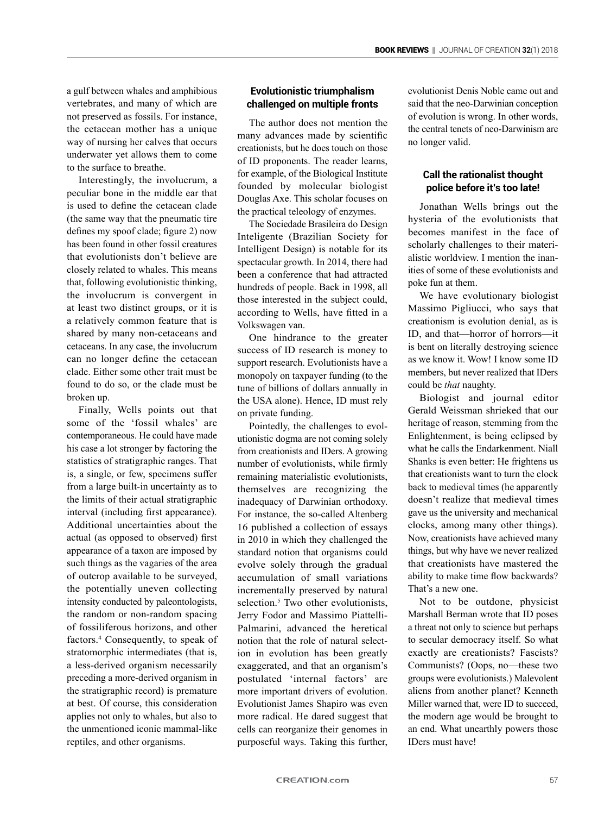a gulf between whales and amphibious vertebrates, and many of which are not preserved as fossils. For instance, the cetacean mother has a unique way of nursing her calves that occurs underwater yet allows them to come to the surface to breathe.

Interestingly, the involucrum, a peculiar bone in the middle ear that is used to define the cetacean clade (the same way that the pneumatic tire defines my spoof clade; figure 2) now has been found in other fossil creatures that evolutionists don't believe are closely related to whales. This means that, following evolutionistic thinking, the involucrum is convergent in at least two distinct groups, or it is a relatively common feature that is shared by many non-cetaceans and cetaceans. In any case, the involucrum can no longer define the cetacean clade. Either some other trait must be found to do so, or the clade must be broken up.

Finally, Wells points out that some of the 'fossil whales' are contemporaneous. He could have made his case a lot stronger by factoring the statistics of stratigraphic ranges. That is, a single, or few, specimens suffer from a large built-in uncertainty as to the limits of their actual stratigraphic interval (including first appearance). Additional uncertainties about the actual (as opposed to observed) first appearance of a taxon are imposed by such things as the vagaries of the area of outcrop available to be surveyed, the potentially uneven collecting intensity conducted by paleontologists, the random or non-random spacing of fossiliferous horizons, and other factors.<sup>4</sup> Consequently, to speak of stratomorphic intermediates (that is, a less-derived organism necessarily preceding a more-derived organism in the stratigraphic record) is premature at best. Of course, this consideration applies not only to whales, but also to the unmentioned iconic mammal-like reptiles, and other organisms.

# **Evolutionistic triumphalism challenged on multiple fronts**

The author does not mention the many advances made by scientific creationists, but he does touch on those of ID proponents. The reader learns, for example, of the Biological Institute founded by molecular biologist Douglas Axe. This scholar focuses on the practical teleology of enzymes.

The Sociedade Brasileira do Design Inteligente (Brazilian Society for Intelligent Design) is notable for its spectacular growth. In 2014, there had been a conference that had attracted hundreds of people. Back in 1998, all those interested in the subject could, according to Wells, have fitted in a Volkswagen van.

One hindrance to the greater success of ID research is money to support research. Evolutionists have a monopoly on taxpayer funding (to the tune of billions of dollars annually in the USA alone). Hence, ID must rely on private funding.

Pointedly, the challenges to evolutionistic dogma are not coming solely from creationists and IDers. A growing number of evolutionists, while firmly remaining materialistic evolutionists, themselves are recognizing the inadequacy of Darwinian orthodoxy. For instance, the so-called Altenberg 16 published a collection of essays in 2010 in which they challenged the standard notion that organisms could evolve solely through the gradual accumulation of small variations incrementally preserved by natural selection.<sup>5</sup> Two other evolutionists, Jerry Fodor and Massimo Piattelli-Palmarini, advanced the heretical notion that the role of natural selection in evolution has been greatly exaggerated, and that an organism's postulated 'internal factors' are more important drivers of evolution. Evolutionist James Shapiro was even more radical. He dared suggest that cells can reorganize their genomes in purposeful ways. Taking this further,

evolutionist Denis Noble came out and said that the neo-Darwinian conception of evolution is wrong. In other words, the central tenets of neo-Darwinism are no longer valid.

# **Call the rationalist thought police before it's too late!**

Jonathan Wells brings out the hysteria of the evolutionists that becomes manifest in the face of scholarly challenges to their materialistic worldview. I mention the inanities of some of these evolutionists and poke fun at them.

We have evolutionary biologist Massimo Pigliucci, who says that creationism is evolution denial, as is ID, and that—horror of horrors—it is bent on literally destroying science as we know it. Wow! I know some ID members, but never realized that IDers could be *that* naughty.

Biologist and journal editor Gerald Weissman shrieked that our heritage of reason, stemming from the Enlightenment, is being eclipsed by what he calls the Endarkenment. Niall Shanks is even better: He frightens us that creationists want to turn the clock back to medieval times (he apparently doesn't realize that medieval times gave us the university and mechanical clocks, among many other things). Now, creationists have achieved many things, but why have we never realized that creationists have mastered the ability to make time flow backwards? That's a new one.

Not to be outdone, physicist Marshall Berman wrote that ID poses a threat not only to science but perhaps to secular democracy itself. So what exactly are creationists? Fascists? Communists? (Oops, no—these two groups were evolutionists.) Malevolent aliens from another planet? Kenneth Miller warned that, were ID to succeed, the modern age would be brought to an end. What unearthly powers those IDers must have!